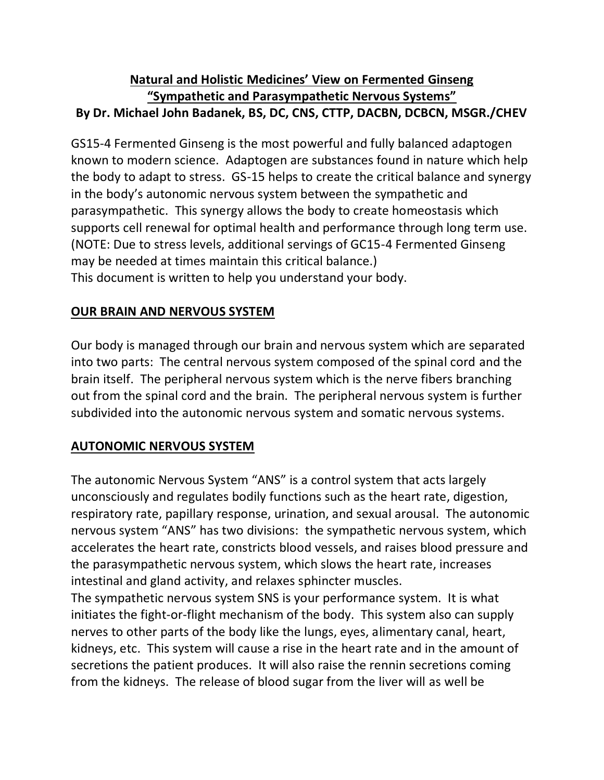# **Natural and Holistic Medicines' View on Fermented Ginseng "Sympathetic and Parasympathetic Nervous Systems" By Dr. Michael John Badanek, BS, DC, CNS, CTTP, DACBN, DCBCN, MSGR./CHEV**

GS15-4 Fermented Ginseng is the most powerful and fully balanced adaptogen known to modern science. Adaptogen are substances found in nature which help the body to adapt to stress. GS-15 helps to create the critical balance and synergy in the body's autonomic nervous system between the sympathetic and parasympathetic. This synergy allows the body to create homeostasis which supports cell renewal for optimal health and performance through long term use. (NOTE: Due to stress levels, additional servings of GC15-4 Fermented Ginseng may be needed at times maintain this critical balance.) This document is written to help you understand your body.

# **OUR BRAIN AND NERVOUS SYSTEM**

Our body is managed through our brain and nervous system which are separated into two parts: The central nervous system composed of the spinal cord and the brain itself. The peripheral nervous system which is the nerve fibers branching out from the spinal cord and the brain. The peripheral nervous system is further subdivided into the autonomic nervous system and somatic nervous systems.

# **AUTONOMIC NERVOUS SYSTEM**

The autonomic Nervous System "ANS" is a control system that acts largely unconsciously and regulates bodily functions such as the heart rate, digestion, respiratory rate, papillary response, urination, and sexual arousal. The autonomic nervous system "ANS" has two divisions: the sympathetic nervous system, which accelerates the heart rate, constricts blood vessels, and raises blood pressure and the parasympathetic nervous system, which slows the heart rate, increases intestinal and gland activity, and relaxes sphincter muscles.

The sympathetic nervous system SNS is your performance system. It is what initiates the fight-or-flight mechanism of the body. This system also can supply nerves to other parts of the body like the lungs, eyes, alimentary canal, heart, kidneys, etc. This system will cause a rise in the heart rate and in the amount of secretions the patient produces. It will also raise the rennin secretions coming from the kidneys. The release of blood sugar from the liver will as well be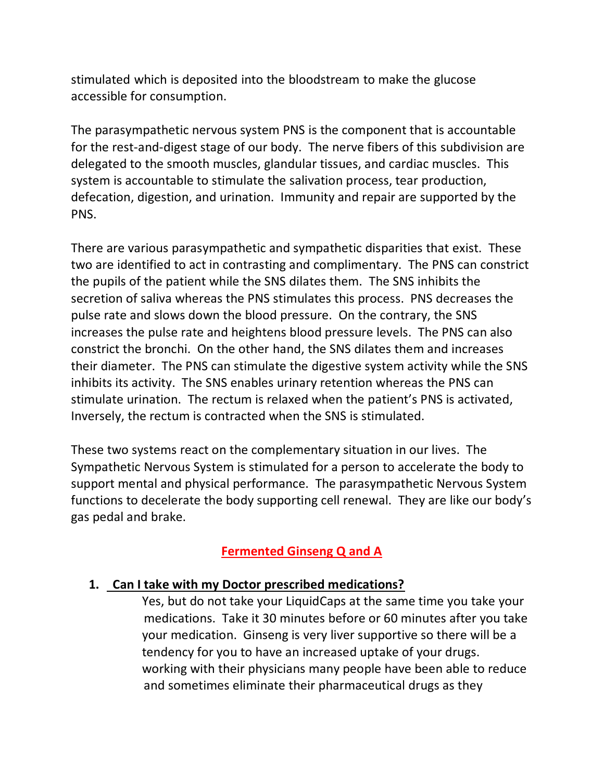stimulated which is deposited into the bloodstream to make the glucose accessible for consumption.

The parasympathetic nervous system PNS is the component that is accountable for the rest-and-digest stage of our body. The nerve fibers of this subdivision are delegated to the smooth muscles, glandular tissues, and cardiac muscles. This system is accountable to stimulate the salivation process, tear production, defecation, digestion, and urination. Immunity and repair are supported by the PNS.

There are various parasympathetic and sympathetic disparities that exist. These two are identified to act in contrasting and complimentary. The PNS can constrict the pupils of the patient while the SNS dilates them. The SNS inhibits the secretion of saliva whereas the PNS stimulates this process. PNS decreases the pulse rate and slows down the blood pressure. On the contrary, the SNS increases the pulse rate and heightens blood pressure levels. The PNS can also constrict the bronchi. On the other hand, the SNS dilates them and increases their diameter. The PNS can stimulate the digestive system activity while the SNS inhibits its activity. The SNS enables urinary retention whereas the PNS can stimulate urination. The rectum is relaxed when the patient's PNS is activated, Inversely, the rectum is contracted when the SNS is stimulated.

These two systems react on the complementary situation in our lives. The Sympathetic Nervous System is stimulated for a person to accelerate the body to support mental and physical performance. The parasympathetic Nervous System functions to decelerate the body supporting cell renewal. They are like our body's gas pedal and brake.

# **Fermented Ginseng Q and A**

#### **1. Can I take with my Doctor prescribed medications?**

 Yes, but do not take your LiquidCaps at the same time you take your medications. Take it 30 minutes before or 60 minutes after you take your medication. Ginseng is very liver supportive so there will be a tendency for you to have an increased uptake of your drugs. working with their physicians many people have been able to reduce and sometimes eliminate their pharmaceutical drugs as they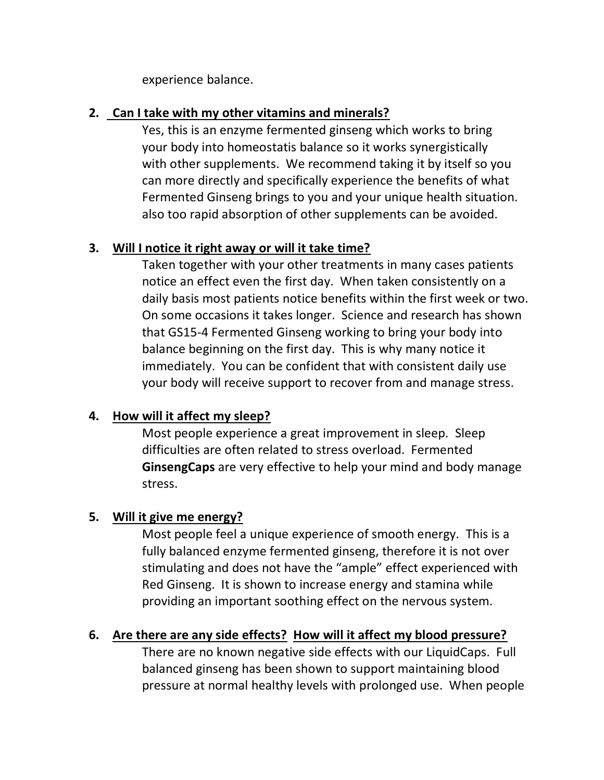experience balance.

### **2. Can I take with my other vitamins and minerals?**

Yes, this is an enzyme fermented ginseng which works to bring your body into homeostatis balance so it works synergistically with other supplements. We recommend taking it by itself so you can more directly and specifically experience the benefits of what Fermented Ginseng brings to you and your unique health situation. also too rapid absorption of other supplements can be avoided.

### **3. Will I notice it right away or will it take time?**

Taken together with your other treatments in many cases patients notice an effect even the first day. When taken consistently on a daily basis most patients notice benefits within the first week or two. On some occasions it takes longer. Science and research has shown that GS15-4 Fermented Ginseng working to bring your body into balance beginning on the first day. This is why many notice it immediately. You can be confident that with consistent daily use your body will receive support to recover from and manage stress.

# **4. How will it affect my sleep?**

Most people experience a great improvement in sleep. Sleep difficulties are often related to stress overload. Fermented **GinsengCaps** are very effective to help your mind and body manage stress.

#### **5. Will it give me energy?**

Most people feel a unique experience of smooth energy. This is a fully balanced enzyme fermented ginseng, therefore it is not over stimulating and does not have the "ample" effect experienced with Red Ginseng. It is shown to increase energy and stamina while providing an important soothing effect on the nervous system.

# **6. Are there are any side effects? How will it affect my blood pressure?**

There are no known negative side effects with our LiquidCaps. Full balanced ginseng has been shown to support maintaining blood pressure at normal healthy levels with prolonged use. When people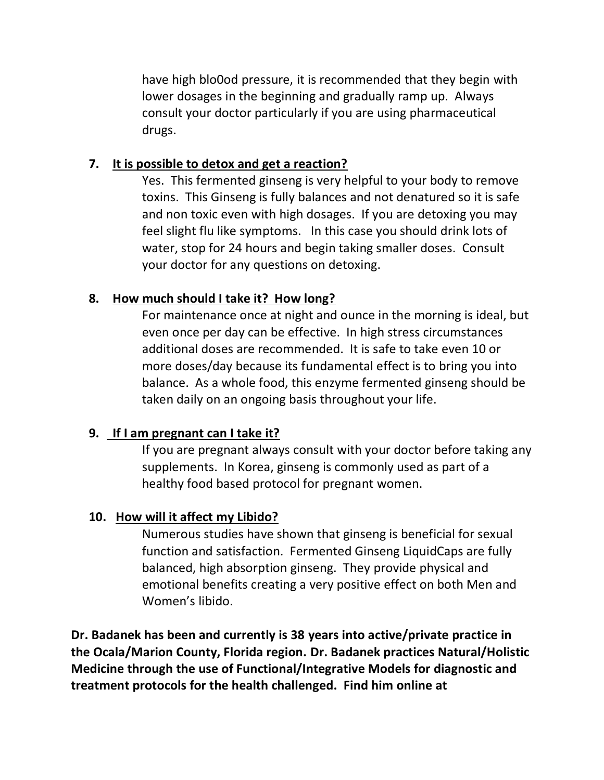have high blo0od pressure, it is recommended that they begin with lower dosages in the beginning and gradually ramp up. Always consult your doctor particularly if you are using pharmaceutical drugs.

### **7. It is possible to detox and get a reaction?**

Yes. This fermented ginseng is very helpful to your body to remove toxins. This Ginseng is fully balances and not denatured so it is safe and non toxic even with high dosages. If you are detoxing you may feel slight flu like symptoms. In this case you should drink lots of water, stop for 24 hours and begin taking smaller doses. Consult your doctor for any questions on detoxing.

### **8. How much should I take it? How long?**

For maintenance once at night and ounce in the morning is ideal, but even once per day can be effective. In high stress circumstances additional doses are recommended. It is safe to take even 10 or more doses/day because its fundamental effect is to bring you into balance. As a whole food, this enzyme fermented ginseng should be taken daily on an ongoing basis throughout your life.

### **9. If I am pregnant can I take it?**

If you are pregnant always consult with your doctor before taking any supplements. In Korea, ginseng is commonly used as part of a healthy food based protocol for pregnant women.

#### **10. How will it affect my Libido?**

Numerous studies have shown that ginseng is beneficial for sexual function and satisfaction. Fermented Ginseng LiquidCaps are fully balanced, high absorption ginseng. They provide physical and emotional benefits creating a very positive effect on both Men and Women's libido.

**Dr. Badanek has been and currently is 38 years into active/private practice in the Ocala/Marion County, Florida region. Dr. Badanek practices Natural/Holistic Medicine through the use of Functional/Integrative Models for diagnostic and treatment protocols for the health challenged. Find him online at**